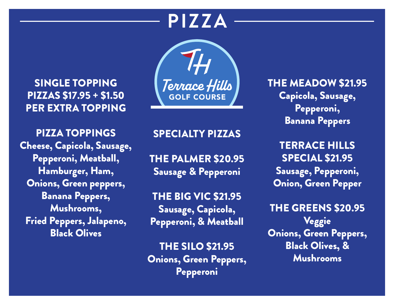## **PIZZA**

SINGLE TOPPING PIZZAS \$17.95 + \$1.50 PER EXTRA TOPPING

PIZZA TOPPINGS Cheese, Capicola, Sausage, Pepperoni, Meatball, Hamburger, Ham, Onions, Green peppers, Banana Peppers, Mushrooms, Fried Peppers, Jalapeno, Black Olives



### SPECIALTY PIZZAS

THE PALMER \$20.95 Sausage & Pepperoni

THE BIG VIC \$21.95 Sausage, Capicola, Pepperoni, & Meatball

THE SILO \$21.95 Onions, Green Peppers, Pepperoni

THE MEADOW \$21.95 Capicola, Sausage, Pepperoni, Banana Peppers

**TERRACE HILLS** SPECIAL \$21.95 Sausage, Pepperoni, Onion, Green Pepper

THE GREENS \$20.95 Veggie Onions, Green Peppers, Black Olives, & Mushrooms